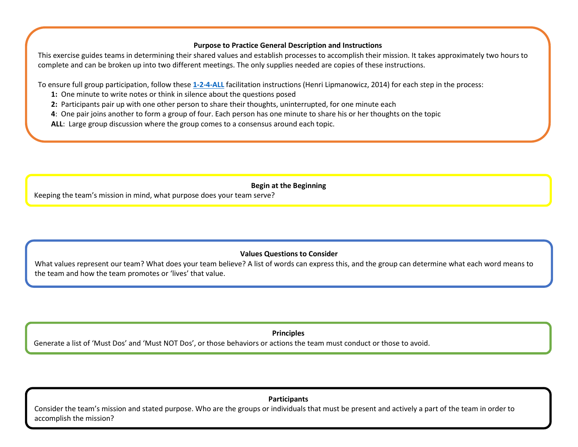## **Purpose to Practice General Description and Instructions**

This exercise guides teams in determining their shared values and establish processes to accomplish their mission. It takes approximately two hours to complete and can be broken up into two different meetings. The only supplies needed are copies of these instructions.

To ensure full group participation, follow these **[1-2-4-ALL](http://www.liberatingstructures.com/1-1-2-4-all/)** facilitation instructions (Henri Lipmanowicz, 2014) for each step in the process:

- **1:** One minute to write notes or think in silence about the questions posed
- **2:** Participants pair up with one other person to share their thoughts, uninterrupted, for one minute each
- **4**: One pair joins another to form a group of four. Each person has one minute to share his or her thoughts on the topic

**ALL**: Large group discussion where the group comes to a consensus around each topic.

**Begin at the Beginning**

Keeping the team's mission in mind, what purpose does your team serve?

## **Values Questions to Consider**

What values represent our team? What does your team believe? A list of words can express this, and the group can determine what each word means to the team and how the team promotes or 'lives' that value.

**Principles**

Generate a list of 'Must Dos' and 'Must NOT Dos', or those behaviors or actions the team must conduct or those to avoid.

**Participants**

Consider the team's mission and stated purpose. Who are the groups or individuals that must be present and actively a part of the team in order to accomplish the mission?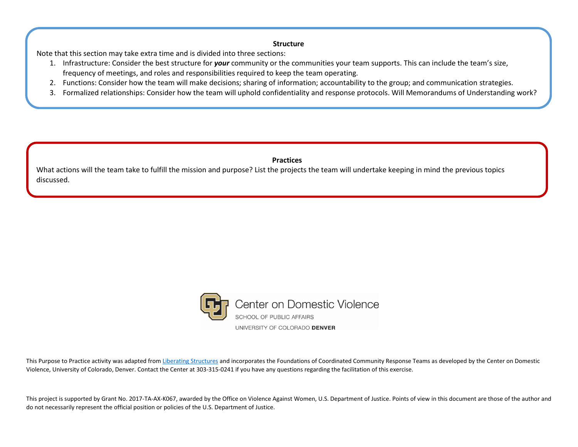## **Structure**

Note that this section may take extra time and is divided into three sections:

- 1. Infrastructure: Consider the best structure for *your* community or the communities your team supports. This can include the team's size, frequency of meetings, and roles and responsibilities required to keep the team operating.
- 2. Functions: Consider how the team will make decisions; sharing of information; accountability to the group; and communication strategies.
- 3. Formalized relationships: Consider how the team will uphold confidentiality and response protocols. Will Memorandums of Understanding work?

## **Practices**

What actions will the team take to fulfill the mission and purpose? List the projects the team will undertake keeping in mind the previous topics discussed.



This Purpose to Practice activity was adapted from [Liberating Structures](http://www.liberatingstructures.com/33-purpose-to-practice-p2p/) and incorporates the Foundations of Coordinated Community Response Teams as developed by the Center on Domestic Violence, University of Colorado, Denver. Contact the Center at 303-315-0241 if you have any questions regarding the facilitation of this exercise.

This project is supported by Grant No. 2017-TA-AX-K067, awarded by the Office on Violence Against Women, U.S. Department of Justice. Points of view in this document are those of the author and do not necessarily represent the official position or policies of the U.S. Department of Justice.